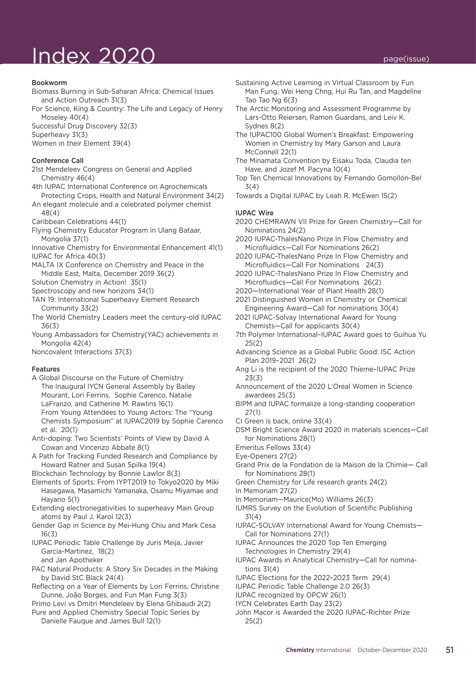# $\ln$ dex 2020 page(issue)

#### Bookworm

- Biomass Burning in Sub-Saharan Africa: Chemical Issues and Action Outreach 31(3)
- For Science, King & Country: The Life and Legacy of Henry Moseley 40(4)
- Successful Drug Discovery 32(3)

Superheavy 31(3)

Women in their Element 39(4)

#### Conference Call

- 21st Mendeleev Congress on General and Applied Chemistry 46(4)
- 4th IUPAC International Conference on Agrochemicals Protecting Crops, Health and Natural Environment 34(2)
- An elegant molecule and a celebrated polymer chemist 48(4)
- Caribbean Celebrations 44(1)
- Flying Chemistry Educator Program in Ulang Bataar, Mongolia 37(1)
- Innovative Chemistry for Environmental Enhancement 41(1) IUPAC for Africa 40(3)
- MALTA IX Conference on Chemistry and Peace in the Middle East, Malta, December 2019 36(2)
- Solution Chemistry in Action! 35(1)
- Spectroscopy and new horizons 34(1)
- TAN 19: International Superheavy Element Research Community 33(2)
- The World Chemistry Leaders meet the century-old IUPAC 36(3)
- Young Ambassadors for Chemistry(YAC) achievements in Mongolia 42(4)
- Noncovalent Interactions 37(3)

### Features

- A Global Discourse on the Future of Chemistry The Inaugural IYCN General Assembly by Bailey Mourant, Lori Ferrins, Sophie Carenco, Natalie LaFranzo, and Catherine M. Rawlins 16(1) From Young Attendees to Young Actors: The "Young Chemists Symposium" at IUPAC2019 by Sophie Carenco et al. 20(1)
- Anti-doping: Two Scientists' Points of View by David A Cowan and Vincenzo Abbate 8(1)
- A Path for Tracking Funded Research and Compliance by Howard Ratner and Susan Spilka 19(4)
- Blockchain Technology by Bonnie Lawlor 8(3)
- Elements of Sports: From IYPT2019 to Tokyo2020 by Miki Hasegawa, Masamichi Yamanaka, Osamu Miyamae and Hayano 5(1)
- Extending electronegativities to superheavy Main Group atoms by Paul J. Karol 12(3)
- Gender Gap in Science by Mei-Hung Chiu and Mark Cesa 16(3)
- IUPAC Periodic Table Challenge by Juris Meija, Javier Garcia-Martinez, 18(2) and Jan Apotheker
- PAC Natural Products: A Story Six Decades in the Making by David StC Black 24(4)
- Reflecting on a Year of Elements by Lori Ferrins, Christine Dunne, João Borges, and Fun Man Fung 3(3)
- Primo Levi vs Dmitri Mendeleev by Elena Ghibaudi 2(2)
- Pure and Applied Chemistry Special Topic Series by Danielle Fauque and James Bull 12(1)
- Sustaining Active Learning in Virtual Classroom by Fun Man Fung, Wei Heng Chng, Hui Ru Tan, and Magdeline Tao Tao Ng 6(3)
- The Arctic Monitoring and Assessment Programme by Lars-Otto Reiersen, Ramon Guardans, and Leiv K. Sydnes 8(2)
- The IUPAC100 Global Women's Breakfast: Empowering Women in Chemistry by Mary Garson and Laura McConnell 22(1)
- The Minamata Convention by Eisaku Toda, Claudia ten Have, and Jozef M. Pacyna 10(4)
- Top Ten Chemical Innovations by Fernando Gomollón-Bel 3(4)
- Towards a Digital IUPAC by Leah R. McEwen 15(2)

#### IUPAC Wire

- 2020 CHEMRAWN VII Prize for Green Chemistry—Call for Nominations 24(2)
- 2020 IUPAC-ThalesNano Prize In Flow Chemistry and Microfluidics —Call For Nominations 26(2)
- 2020 IUPAC-ThalesNano Prize In Flow Chemistry and Microfluidics—Call For Nominations 24(3)
- 2020 IUPAC-ThalesNano Prize In Flow Chemistry and Microfluidics—Call For Nominations 26(2)
- 2020— International Year of Plant Health 28(1)
- 2021 Distinguished Women in Chemistry or Chemical Engineering Award—Call for nominations 30(4)
- 2021 IUPAC-Solvay International Award for Young Chemists—Call for applicants 30(4)
- 7th Polymer International–IUPAC Award goes to Guihua Yu 25(2)
- Advancing Science as a Global Public Good: ISC Action Plan 2019–2021 26(2)
- Ang Li is the recipient of the 2020 Thieme–IUPAC Prize 23(3)
- Announcement of the 2020 L'Oreal Women in Science awardees 25(3)
- BIPM and IUPAC formalize a long-standing cooperation 27(1)
- CI Green is back, online 33(4)
- DSM Bright Science Award 2020 in materials sciences—Call for Nominations 28(1)
- Emeritus Fellows 33(4)
- Eye-Openers 27(2)
- Grand Prix de la Fondation de la Maison de la Chimie— Call for Nominations 28(1)
- Green Chemistry for Life research grants 24(2)
- In Memoriam 27(2)
- In Memoriam—Maurice(Mo) Williams 26(3)
- IUMRS Survey on the Evolution of Scientific Publishing 31(4)
- IUPAC-SOLVAY International Award for Young Chemists— Call for Nominations 27(1)
- IUPAC Announces the 2020 Top Ten Emerging Technologies In Chemistry 29(4)
- IUPAC Awards in Analytical Chemistry—Call for nominations 31(4)
- IUPAC Elections for the 2022–2023 Term 29(4)
- IUPAC Periodic Table Challenge 2.0 26(3)
- IUPAC recognized by OPCW 26(1)
- IYCN Celebrates Earth Day 23(2)
- John Macor is Awarded the 2020 IUPAC-Richter Prize 25(2)